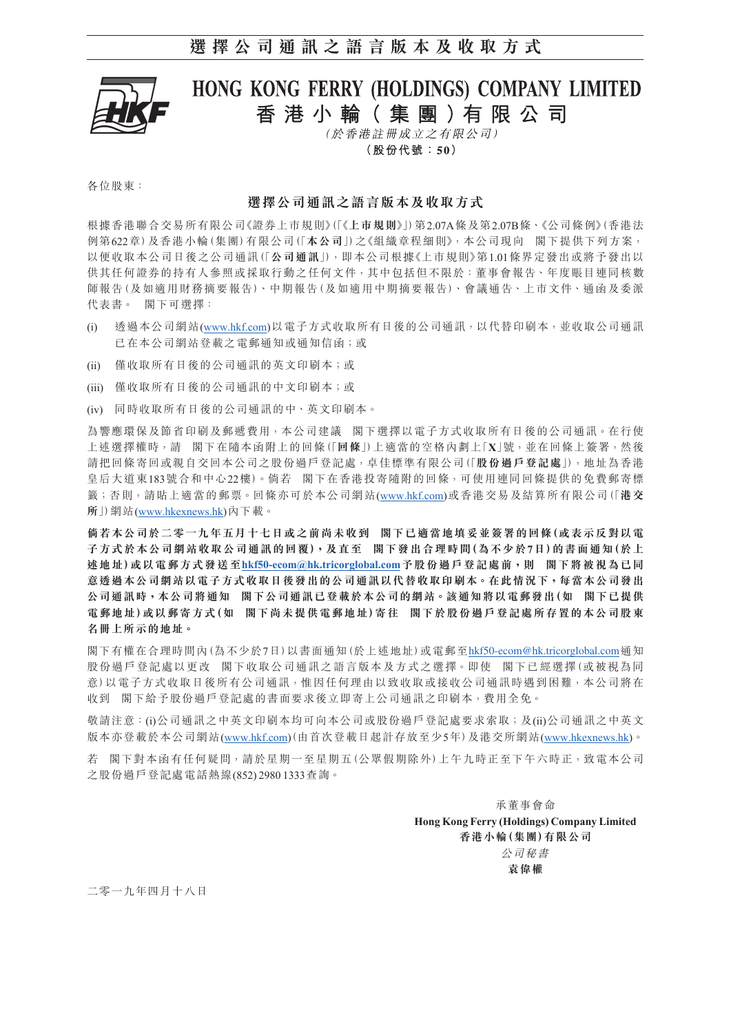

# HONG KONG FERRY (HOLDINGS) COMPANY LIMITED 香港小輪 (集團)有限公司

(於香港註冊成立之有限公司)

(股份代號:50)

各位股東:

### **選擇公司通訊之語言版本及收取方式**

根據香港聯合交易所有限公司《證券上市規則》(「《**上市規則**》」)第2.07A條及第2.07B條、《公司條例》(香港法 例第622章)及香港小輪(集團)有限公司(「**本公司**」)之《組織章程細則》,本公司現向 閣下提供下列方案, 以便收取本公司日後之公司通訊(「**公司通訊**」),即本公司根據《上市規則》第1.01條界定發出或將予發出以 供其任何證券的持有人參照或採取行動之任何文件,其中包括但不限於:董事會報告、年度賬目連同核數 師報告(及如適用財務摘要報告)、中期報告(及如適用中期摘要報告)、會議通告、上市文件、通函及委派 代表書。 閣下可選擇:

- (i) 透過本公司網站(www.hkf.com)以電子方式收取所有日後的公司通訊,以代替印刷本,並收取公司通訊 已在本公司網站登載之電郵通知或通知信函;或
- (ii) 僅收取所有日後的公司通訊的英文印刷本;或
- (iii) 僅收取所有日後的公司通訊的中文印刷本;或
- (iv) 同時收取所有日後的公司通訊的中、英文印刷本。

為響應環保及節省印刷及郵遞費用,本公司建議 閣下選擇以電子方式收取所有日後的公司通訊。在行使 上述選擇權時,請 閣下在隨本函附上的回條(「**回條**」)上適當的空格內劃上「**X**」號,並在回條上簽署,然後 請把回條寄回或親自交回本公司之股份過戶登記處,卓佳標準有限公司(「**股份過戶登記處**」),地址為香港 皇后大道東183號合和中心22樓)。倘若 閣下在香港投寄隨附的回條,可使用連同回條提供的免費郵寄標 籤;否則,請貼上適當的郵票。回條亦可於本公司網站(www.hkf.com)或香港交易及結算所有限公司(「**港交 所**」)網站([www.hkexnews.hk\)](http://www.hkexnews.hk/index_c.htm)內下載。

**倘若本公司於二零一九年五月十七日或之前尚未收到 閣下已適當地填妥並簽署的回條(或表示反對以電 子方式於本公司網站收取公司通訊的回覆),及直至 閣下發出合理時間(為不少於7日)的書面通知(於上 述地址)或以電郵方式發送至[hkf50-ecom@hk.tricorglobal.com](mailto:hkf50-ecom%40hk.tricorglobal.com?subject=)予股份過戶登記處前,則 閣下將被視為已同** 意透過本公司網站以電子方式收取日後發出的公司通訊以代替收取印刷本。在此情況下,每當本公司發出 **公司通訊時,本公司將通知 閣下公司通訊已登載於本公司的網站。該通知將以電郵發出(如 閣下已提供 電郵地址)或以郵寄方式(如 閣下尚未提供電郵地址)寄往 閣下於股份過戶登記處所存置的本公司股東 名冊上所示的地址。**

閣下有權在合理時間內(為不少於7日)以書面通知(於上述地址)或電郵至[hkf50-ecom@hk.tricorglobal.com](mailto:hkf50-ecom%40hk.tricorglobal.com?subject=)通知 股份過戶登記處以更改 閣下收取公司通訊之語言版本及方式之選擇。即使 閣下已經選擇(或被視為同 意)以電子方式收取日後所有公司通訊,惟因任何理由以致收取或接收公司通訊時遇到困難,本公司將在 收到 閣下給予股份過戶登記處的書面要求後立即寄上公司通訊之印刷本,費用全免。

敬請注意:(i)公司通訊之中英文印刷本均可向本公司或股份過戶登記處要求索取;及(ii)公司通訊之中英文 版本亦登載於本公司網站(www.hkf.com)(由首次登載日起計存放至少5年)及港交所網站[\(www.hkexnews.hk](http://www.hkexnews.hk/index_c.htm))。

若 閣下對本函有任何疑問,請於星期一至星期五(公眾假期除外)上午九時正至下午六時正,致電本公司 之股份過戶登記處電話熱線(852) 2980 1333查詢。

> 承董事會命 **Hong Kong Ferry (Holdings) Company Limited 香港小輪(集團)有限公司** 公司秘書 **袁偉權**

二零一九年四月十八日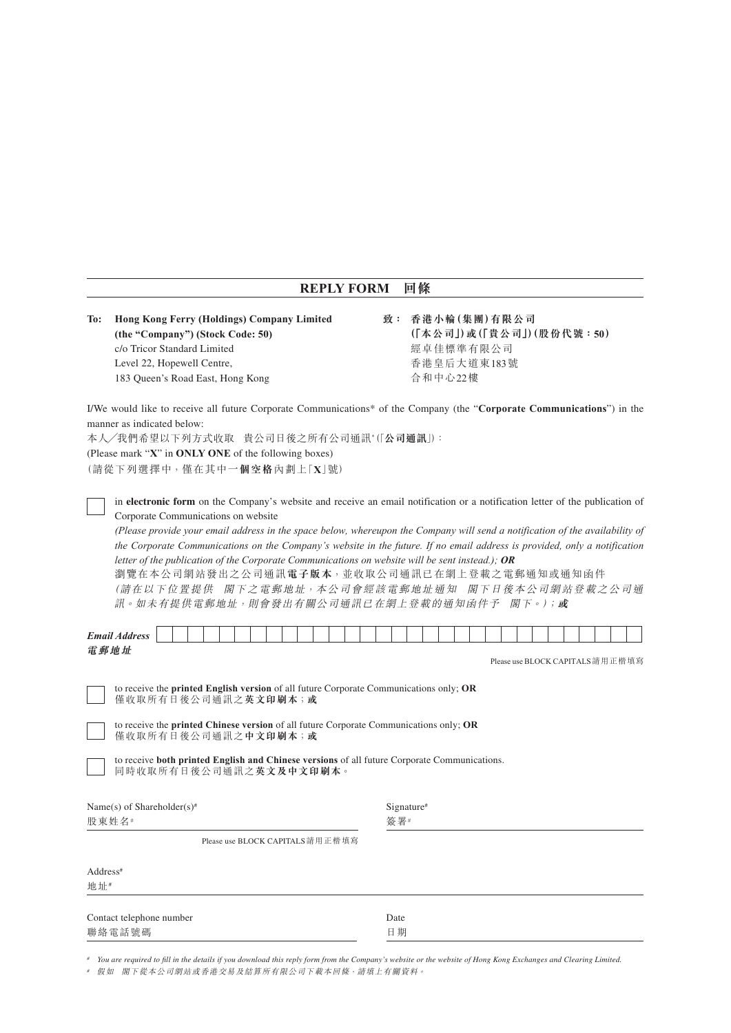## **REPLY FORM 回條**

**To: Hong Kong Ferry (Holdings) Company Limited (the "Company") (Stock Code: 50)** c/o Tricor Standard Limited <br>
<sub>
20</sub> Tricor Standard Limited Level 22, Hopewell Centre, 香港皇后大道東183號 183 Queen's Road East, Hong Kong http://www.facebook.com/discreent/sector/22樓

**致: 香港小輪(集團)有限公司 (「本公司」)或(「貴公司」)(股份代號:50)**

I/We would like to receive all future Corporate Communications\* of the Company (the "**Corporate Communications**") in the manner as indicated below:

本人/我們希望以下列方式收取 貴公司日後之所有公司通訊\* (「公**司通訊**」):

(Please mark "**X**" in **ONLY ONE** of the following boxes)

(請從下列選擇中,僅在其中**一個空格**內劃上「**X**」號)

in **electronic form** on the Company's website and receive an email notification or a notification letter of the publication of Corporate Communications on website

*(Please provide your email address in the space below, whereupon the Company will send a notification of the availability of the Corporate Communications on the Company's website in the future. If no email address is provided, only a notification letter of the publication of the Corporate Communications on website will be sent instead.); OR*

瀏覽在本公司網站發出之公司通訊**電子版本**,並收取公司通訊已在網上登載之電郵通知或通知函件 (請在以下位置提供 閣下之電郵地址,本公司會經該電郵地址通知 閣下日後本公司網站登載之公司通 訊。如未有提供電郵地址,則會發出有關公司通訊已在網上登載的通知函件予 閣下。);**或**

| <b>Email Address</b>                                                                                                                                                                                                                                 |                                  |
|------------------------------------------------------------------------------------------------------------------------------------------------------------------------------------------------------------------------------------------------------|----------------------------------|
| 電郵地址<br>to receive the <b>printed English version</b> of all future Corporate Communications only; OR<br>僅收取所有日後公司通訊之英文印刷本;或<br>to receive the <b>printed Chinese version</b> of all future Corporate Communications only; OR<br>僅收取所有日後公司通訊之中文印刷本;或 | Please use BLOCK CAPITALS 請用正楷填寫 |
| to receive both printed English and Chinese versions of all future Corporate Communications.<br>同時收取所有日後公司通訊之英文及中文印刷本。<br>Name(s) of Shareholder(s) <sup>#</sup><br>股東姓名#                                                                            | Signature <sup>#</sup><br>簽署#    |
| Please use BLOCK CAPITALS 請用正楷填寫                                                                                                                                                                                                                     |                                  |
| Address <sup>#</sup><br>地址#                                                                                                                                                                                                                          |                                  |
|                                                                                                                                                                                                                                                      |                                  |

*# You are required to fill in the details if you download this reply form from the Company's website or the website of Hong Kong Exchanges and Clearing Limited.*

*#* 假如 閣下從本公司網站或香港交易及結算所有限公司下載本回條,請填上有關資料。